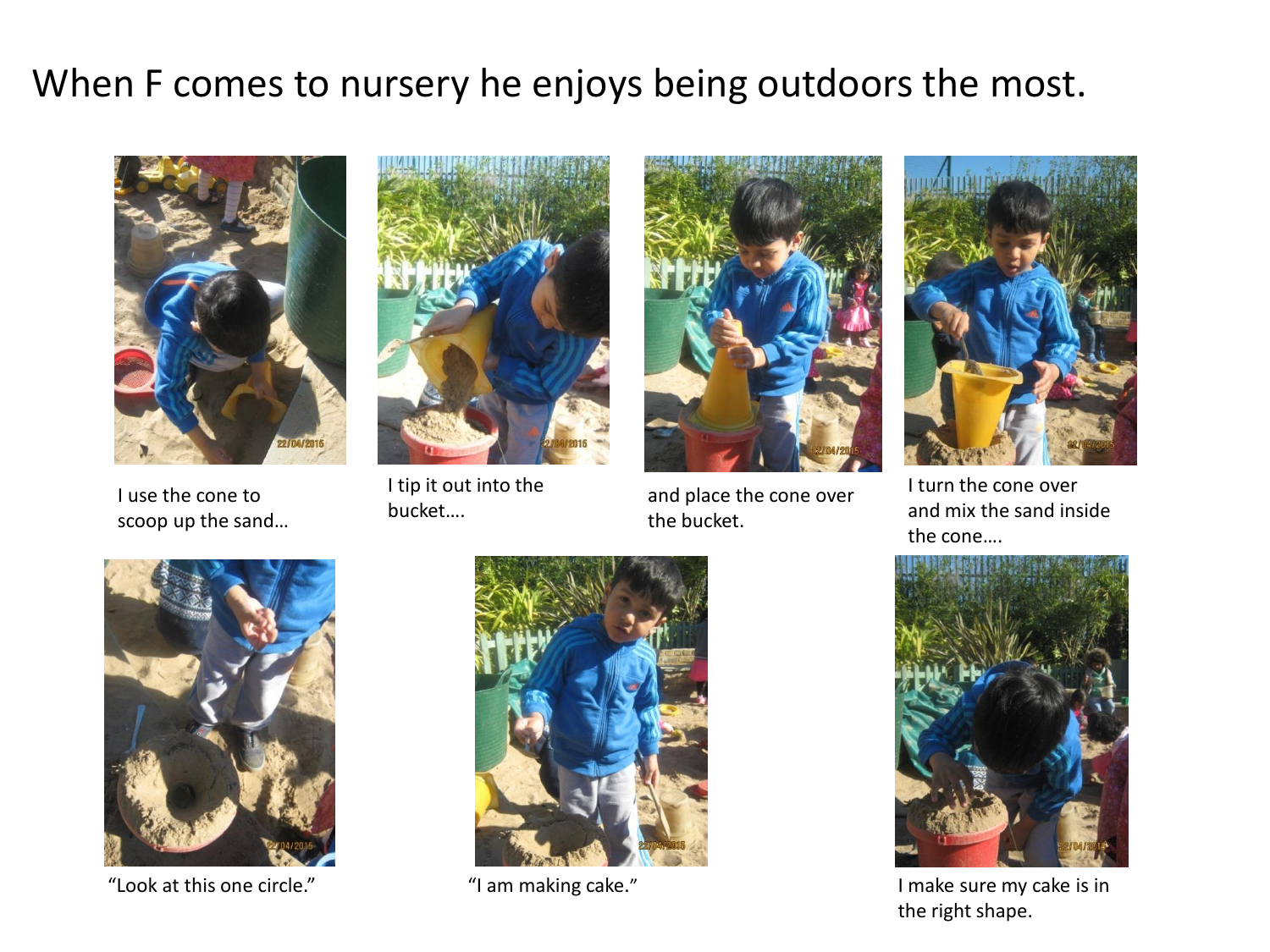## When F comes to nursery he enjoys being outdoors the most.



I use the cone to scoop up the sand…



I tip it out into the bucket….



and place the cone over the bucket.



I turn the cone over and mix the sand inside the cone….



"Look at this one circle." "I am making cake." I make sure my cake is in





the right shape.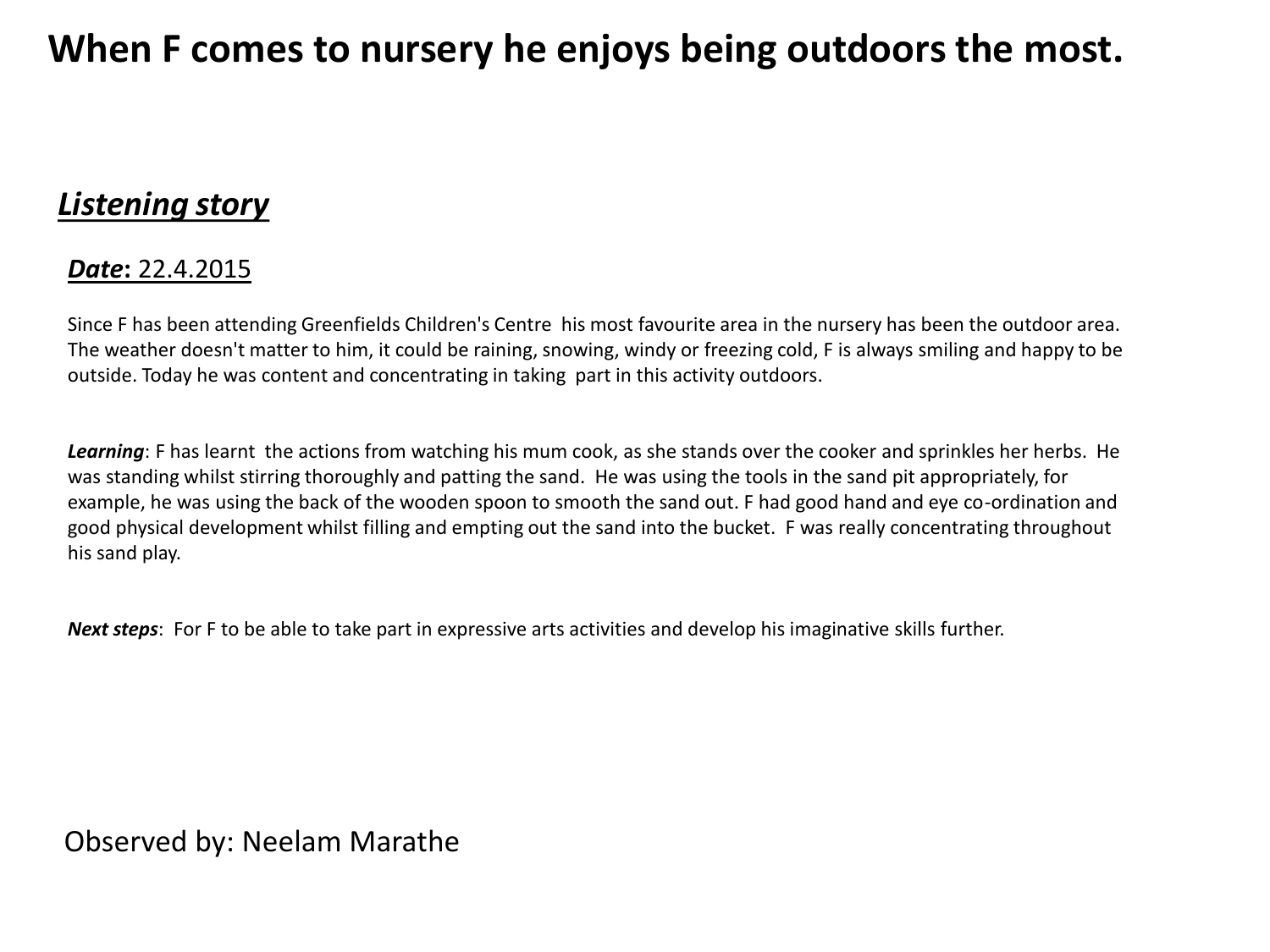## **When F comes to nursery he enjoys being outdoors the most.**

## *Listening story*

## *Date***:** 22.4.2015

Since F has been attending Greenfields Children's Centre his most favourite area in the nursery has been the outdoor area. The weather doesn't matter to him, it could be raining, snowing, windy or freezing cold, F is always smiling and happy to be outside. Today he was content and concentrating in taking part in this activity outdoors.

*Learning*: F has learnt the actions from watching his mum cook, as she stands over the cooker and sprinkles her herbs. He was standing whilst stirring thoroughly and patting the sand. He was using the tools in the sand pit appropriately, for example, he was using the back of the wooden spoon to smooth the sand out. F had good hand and eye co-ordination and good physical development whilst filling and empting out the sand into the bucket. F was really concentrating throughout his sand play.

*Next steps*: For F to be able to take part in expressive arts activities and develop his imaginative skills further.

Observed by: Neelam Marathe